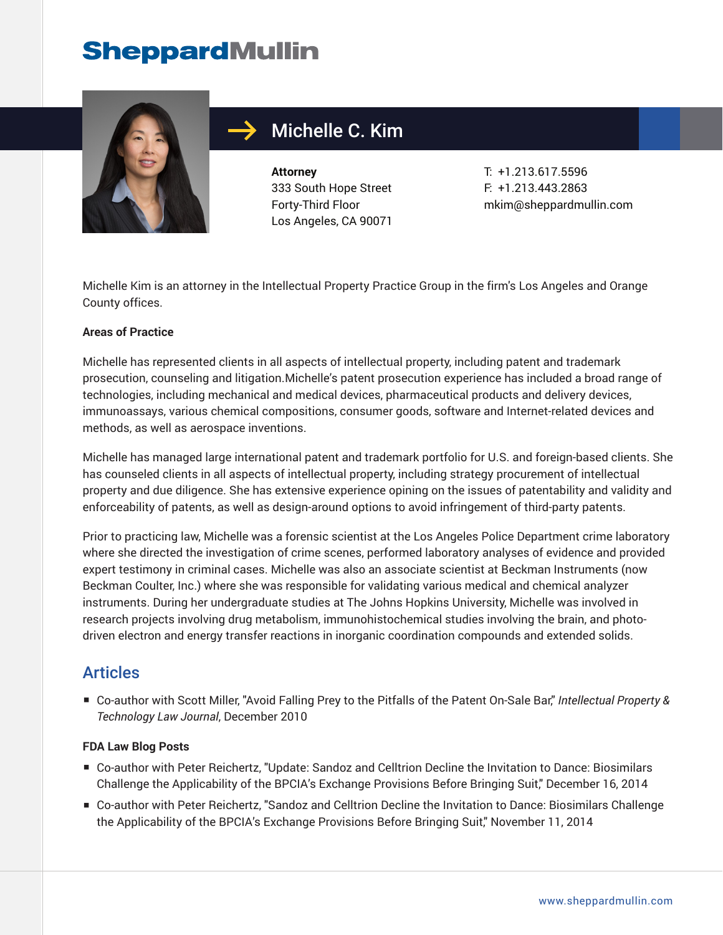# **SheppardMullin**



## Michelle C. Kim

**Attorney** 333 South Hope Street Forty-Third Floor Los Angeles, CA 90071

T: +1.213.617.5596 F: +1.213.443.2863 mkim@sheppardmullin.com

Michelle Kim is an attorney in the Intellectual Property Practice Group in the firm's Los Angeles and Orange County offices.

#### **Areas of Practice**

Michelle has represented clients in all aspects of intellectual property, including patent and trademark prosecution, counseling and litigation.Michelle's patent prosecution experience has included a broad range of technologies, including mechanical and medical devices, pharmaceutical products and delivery devices, immunoassays, various chemical compositions, consumer goods, software and Internet-related devices and methods, as well as aerospace inventions.

Michelle has managed large international patent and trademark portfolio for U.S. and foreign-based clients. She has counseled clients in all aspects of intellectual property, including strategy procurement of intellectual property and due diligence. She has extensive experience opining on the issues of patentability and validity and enforceability of patents, as well as design-around options to avoid infringement of third-party patents.

Prior to practicing law, Michelle was a forensic scientist at the Los Angeles Police Department crime laboratory where she directed the investigation of crime scenes, performed laboratory analyses of evidence and provided expert testimony in criminal cases. Michelle was also an associate scientist at Beckman Instruments (now Beckman Coulter, Inc.) where she was responsible for validating various medical and chemical analyzer instruments. During her undergraduate studies at The Johns Hopkins University, Michelle was involved in research projects involving drug metabolism, immunohistochemical studies involving the brain, and photodriven electron and energy transfer reactions in inorganic coordination compounds and extended solids.

### Articles

■ Co-author with Scott Miller, "Avoid Falling Prey to the Pitfalls of the Patent On-Sale Bar," *Intellectual Property & Technology Law Journal*, December 2010

#### **FDA Law Blog Posts**

- Co-author with Peter Reichertz, "Update: Sandoz and Celltrion Decline the Invitation to Dance: Biosimilars Challenge the Applicability of the BPCIA's Exchange Provisions Before Bringing Suit," December 16, 2014
- Co-author with Peter Reichertz, "Sandoz and Celltrion Decline the Invitation to Dance: Biosimilars Challenge the Applicability of the BPCIA's Exchange Provisions Before Bringing Suit," November 11, 2014